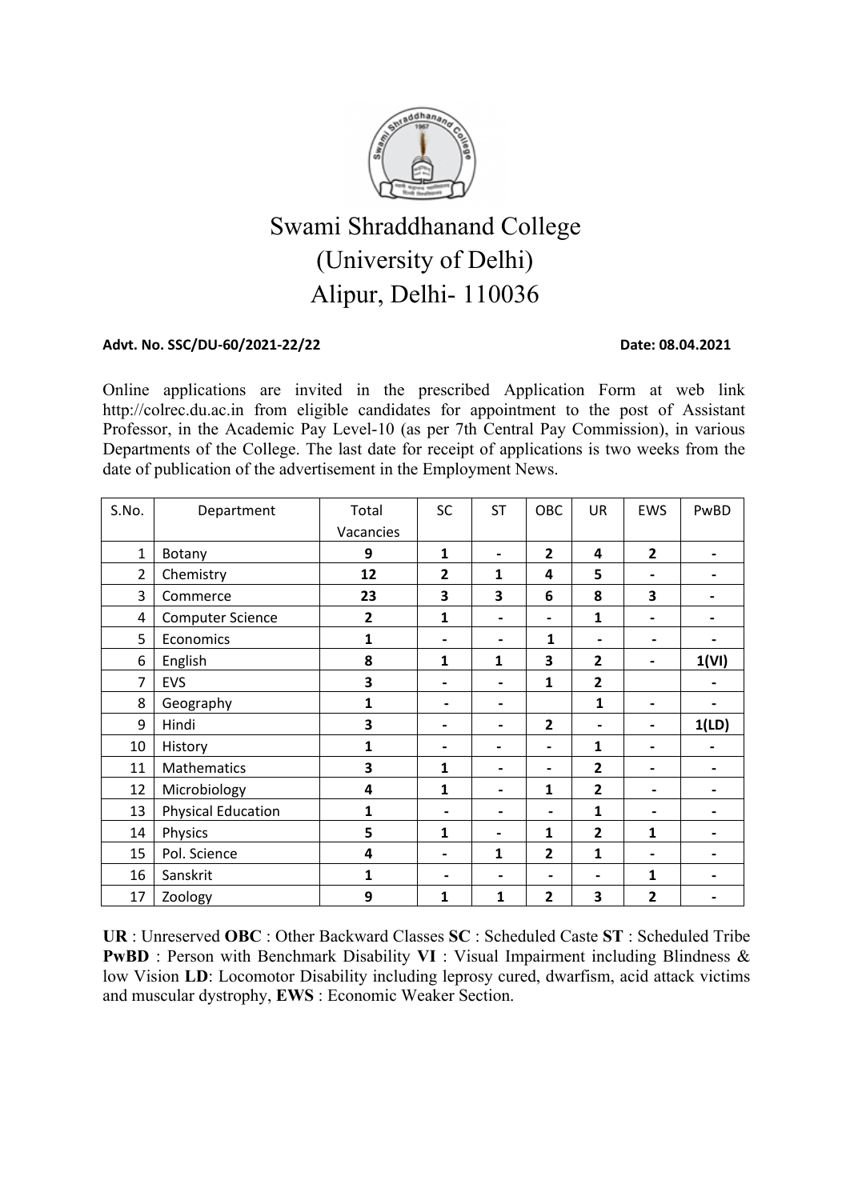

# Swami Shraddhanand College (University of Delhi) Alipur, Delhi- 110036

#### Advt. No. SSC/DU-60/2021-22/22 Date: 08.04.2021

Online applications are invited in the prescribed Application Form at web link http://colrec.du.ac.in from eligible candidates for appointment to the post of Assistant Professor, in the Academic Pay Level-10 (as per 7th Central Pay Commission), in various Departments of the College. The last date for receipt of applications is two weeks from the date of publication of the advertisement in the Employment News.

| S.No.          | Department                | Total        | SC                       | <b>ST</b>                | OBC                      | <b>UR</b>                | EWS                      | PwBD                     |  |
|----------------|---------------------------|--------------|--------------------------|--------------------------|--------------------------|--------------------------|--------------------------|--------------------------|--|
|                |                           | Vacancies    |                          |                          |                          |                          |                          |                          |  |
| $1\,$          | Botany                    | 9            | 1                        | $\overline{\phantom{a}}$ | $\overline{2}$           | 4                        | $\overline{2}$           | $\blacksquare$           |  |
| $\overline{2}$ | Chemistry                 | 12           | 2                        | 1                        | 4                        | 5                        | $\blacksquare$           | $\overline{\phantom{0}}$ |  |
| 3              | Commerce                  | 23           | 3                        | 3                        | 6                        | 8                        | 3                        | -                        |  |
| 4              | <b>Computer Science</b>   | $\mathbf{2}$ | $\mathbf{1}$             | $\overline{\phantom{0}}$ | $\overline{\phantom{0}}$ | $\mathbf{1}$             | $\blacksquare$           | $\overline{\phantom{0}}$ |  |
| 5              | Economics                 | 1            | $\blacksquare$           |                          | 1                        | $\blacksquare$           | $\blacksquare$           |                          |  |
| 6              | English                   | 8            | $\mathbf{1}$             | $\mathbf{1}$             | 3                        | $\overline{2}$           | $\blacksquare$           | 1(VI)                    |  |
| 7              | EVS                       | 3            | $\blacksquare$           | $\blacksquare$           | 1                        | $\overline{2}$           |                          | $\overline{\phantom{0}}$ |  |
| 8              | Geography                 | $\mathbf{1}$ | $\overline{\phantom{0}}$ | $\blacksquare$           |                          | $\mathbf{1}$             | $\blacksquare$           |                          |  |
| 9              | Hindi                     | 3            | $\blacksquare$           | $\blacksquare$           | $\overline{2}$           | $\blacksquare$           | $\overline{\phantom{0}}$ | 1(LD)                    |  |
| 10             | History                   | $\mathbf{1}$ | $\blacksquare$           | $\overline{\phantom{0}}$ | -                        | $\mathbf{1}$             | $\blacksquare$           | -                        |  |
| 11             | Mathematics               | 3            | 1                        | $\overline{\phantom{0}}$ | -                        | $\mathbf{2}$             | -                        | $\blacksquare$           |  |
| 12             | Microbiology              | 4            | 1                        | $\overline{\phantom{0}}$ | 1                        | $\mathbf{2}$             | $\blacksquare$           | $\overline{\phantom{0}}$ |  |
| 13             | <b>Physical Education</b> | $\mathbf{1}$ | $\blacksquare$           | $\overline{\phantom{0}}$ | $\blacksquare$           | 1                        | $\overline{\phantom{a}}$ | $\blacksquare$           |  |
| 14             | Physics                   | 5            | 1                        |                          | 1                        | $\overline{2}$           | $\mathbf{1}$             | $\blacksquare$           |  |
| 15             | Pol. Science              | 4            | $\overline{\phantom{0}}$ | $\mathbf{1}$             | $\mathbf{2}$             | 1                        | $\blacksquare$           | $\blacksquare$           |  |
| 16             | Sanskrit                  | $\mathbf{1}$ | $\overline{\phantom{0}}$ |                          | $\blacksquare$           | $\overline{\phantom{0}}$ | 1                        | $\overline{\phantom{a}}$ |  |
| 17             | Zoology                   | 9            | 1                        | 1                        | 2                        | 3                        | 2                        | $\blacksquare$           |  |

**UR** : Unreserved **OBC** : Other Backward Classes **SC** : Scheduled Caste **ST** : Scheduled Tribe **PwBD** : Person with Benchmark Disability **VI** : Visual Impairment including Blindness & low Vision **LD**: Locomotor Disability including leprosy cured, dwarfism, acid attack victims and muscular dystrophy, **EWS** : Economic Weaker Section.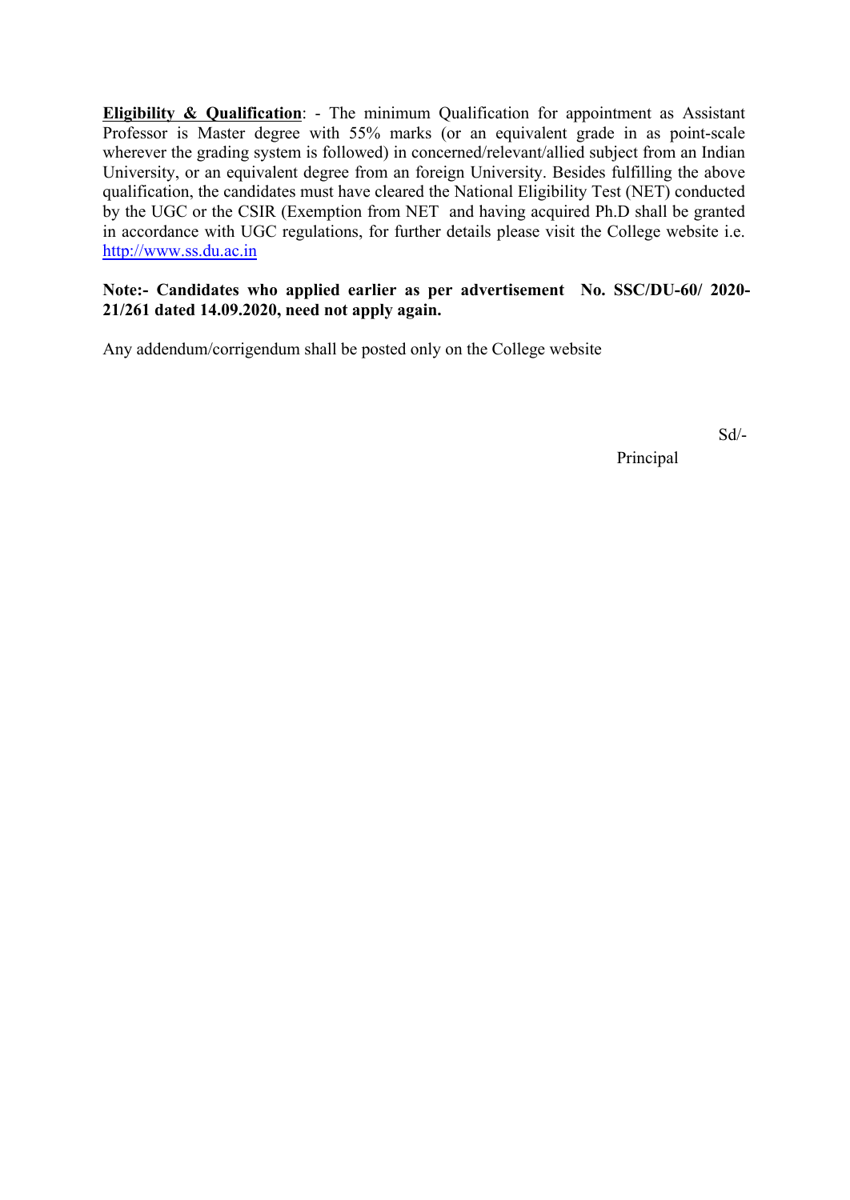**Eligibility & Qualification**: - The minimum Qualification for appointment as Assistant Professor is Master degree with 55% marks (or an equivalent grade in as point-scale wherever the grading system is followed) in concerned/relevant/allied subject from an Indian University, or an equivalent degree from an foreign University. Besides fulfilling the above qualification, the candidates must have cleared the National Eligibility Test (NET) conducted by the UGC or the CSIR (Exemption from NET and having acquired Ph.D shall be granted in accordance with UGC regulations, for further details please visit the College website i.e. http://www.ss.du.ac.in

#### **Note:- Candidates who applied earlier as per advertisement No. SSC/DU-60/ 2020- 21/261 dated 14.09.2020, need not apply again.**

Any addendum/corrigendum shall be posted only on the College website

Sd/-

Principal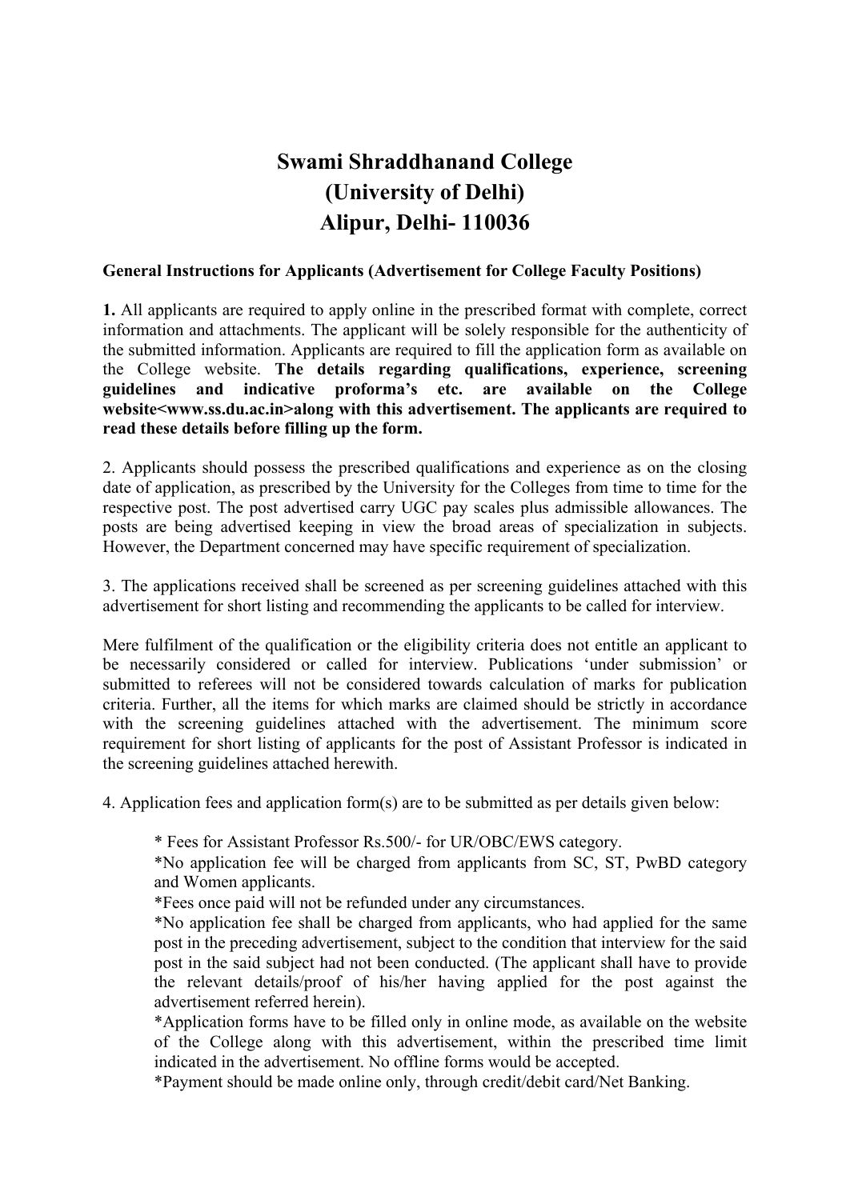# **Swami Shraddhanand College (University of Delhi) Alipur, Delhi- 110036**

#### **General Instructions for Applicants (Advertisement for College Faculty Positions)**

**1.** All applicants are required to apply online in the prescribed format with complete, correct information and attachments. The applicant will be solely responsible for the authenticity of the submitted information. Applicants are required to fill the application form as available on the College website. **The details regarding qualifications, experience, screening guidelines and indicative proforma's etc. are available on the College website<www.ss.du.ac.in>along with this advertisement. The applicants are required to read these details before filling up the form.** 

2. Applicants should possess the prescribed qualifications and experience as on the closing date of application, as prescribed by the University for the Colleges from time to time for the respective post. The post advertised carry UGC pay scales plus admissible allowances. The posts are being advertised keeping in view the broad areas of specialization in subjects. However, the Department concerned may have specific requirement of specialization.

3. The applications received shall be screened as per screening guidelines attached with this advertisement for short listing and recommending the applicants to be called for interview.

Mere fulfilment of the qualification or the eligibility criteria does not entitle an applicant to be necessarily considered or called for interview. Publications 'under submission' or submitted to referees will not be considered towards calculation of marks for publication criteria. Further, all the items for which marks are claimed should be strictly in accordance with the screening guidelines attached with the advertisement. The minimum score requirement for short listing of applicants for the post of Assistant Professor is indicated in the screening guidelines attached herewith.

4. Application fees and application form(s) are to be submitted as per details given below:

\* Fees for Assistant Professor Rs.500/- for UR/OBC/EWS category.

\*No application fee will be charged from applicants from SC, ST, PwBD category and Women applicants.

\*Fees once paid will not be refunded under any circumstances.

\*No application fee shall be charged from applicants, who had applied for the same post in the preceding advertisement, subject to the condition that interview for the said post in the said subject had not been conducted. (The applicant shall have to provide the relevant details/proof of his/her having applied for the post against the advertisement referred herein).

\*Application forms have to be filled only in online mode, as available on the website of the College along with this advertisement, within the prescribed time limit indicated in the advertisement. No offline forms would be accepted.

\*Payment should be made online only, through credit/debit card/Net Banking.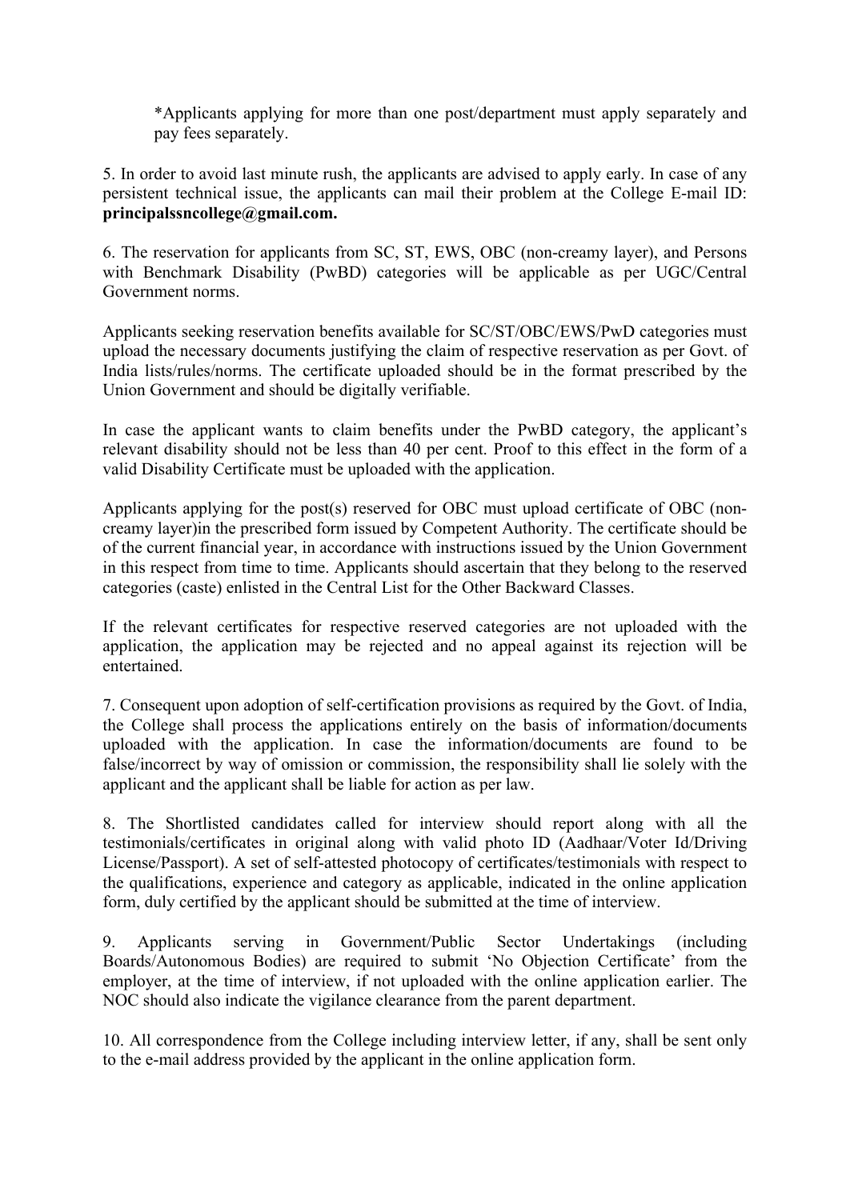\*Applicants applying for more than one post/department must apply separately and pay fees separately.

5. In order to avoid last minute rush, the applicants are advised to apply early. In case of any persistent technical issue, the applicants can mail their problem at the College E-mail ID: **principalssncollege@gmail.com.**

6. The reservation for applicants from SC, ST, EWS, OBC (non-creamy layer), and Persons with Benchmark Disability (PwBD) categories will be applicable as per UGC/Central Government norms.

Applicants seeking reservation benefits available for SC/ST/OBC/EWS/PwD categories must upload the necessary documents justifying the claim of respective reservation as per Govt. of India lists/rules/norms. The certificate uploaded should be in the format prescribed by the Union Government and should be digitally verifiable.

In case the applicant wants to claim benefits under the PwBD category, the applicant's relevant disability should not be less than 40 per cent. Proof to this effect in the form of a valid Disability Certificate must be uploaded with the application.

Applicants applying for the post(s) reserved for OBC must upload certificate of OBC (noncreamy layer)in the prescribed form issued by Competent Authority. The certificate should be of the current financial year, in accordance with instructions issued by the Union Government in this respect from time to time. Applicants should ascertain that they belong to the reserved categories (caste) enlisted in the Central List for the Other Backward Classes.

If the relevant certificates for respective reserved categories are not uploaded with the application, the application may be rejected and no appeal against its rejection will be entertained.

7. Consequent upon adoption of self-certification provisions as required by the Govt. of India, the College shall process the applications entirely on the basis of information/documents uploaded with the application. In case the information/documents are found to be false/incorrect by way of omission or commission, the responsibility shall lie solely with the applicant and the applicant shall be liable for action as per law.

8. The Shortlisted candidates called for interview should report along with all the testimonials/certificates in original along with valid photo ID (Aadhaar/Voter Id/Driving License/Passport). A set of self-attested photocopy of certificates/testimonials with respect to the qualifications, experience and category as applicable, indicated in the online application form, duly certified by the applicant should be submitted at the time of interview.

9. Applicants serving in Government/Public Sector Undertakings (including Boards/Autonomous Bodies) are required to submit 'No Objection Certificate' from the employer, at the time of interview, if not uploaded with the online application earlier. The NOC should also indicate the vigilance clearance from the parent department.

10. All correspondence from the College including interview letter, if any, shall be sent only to the e-mail address provided by the applicant in the online application form.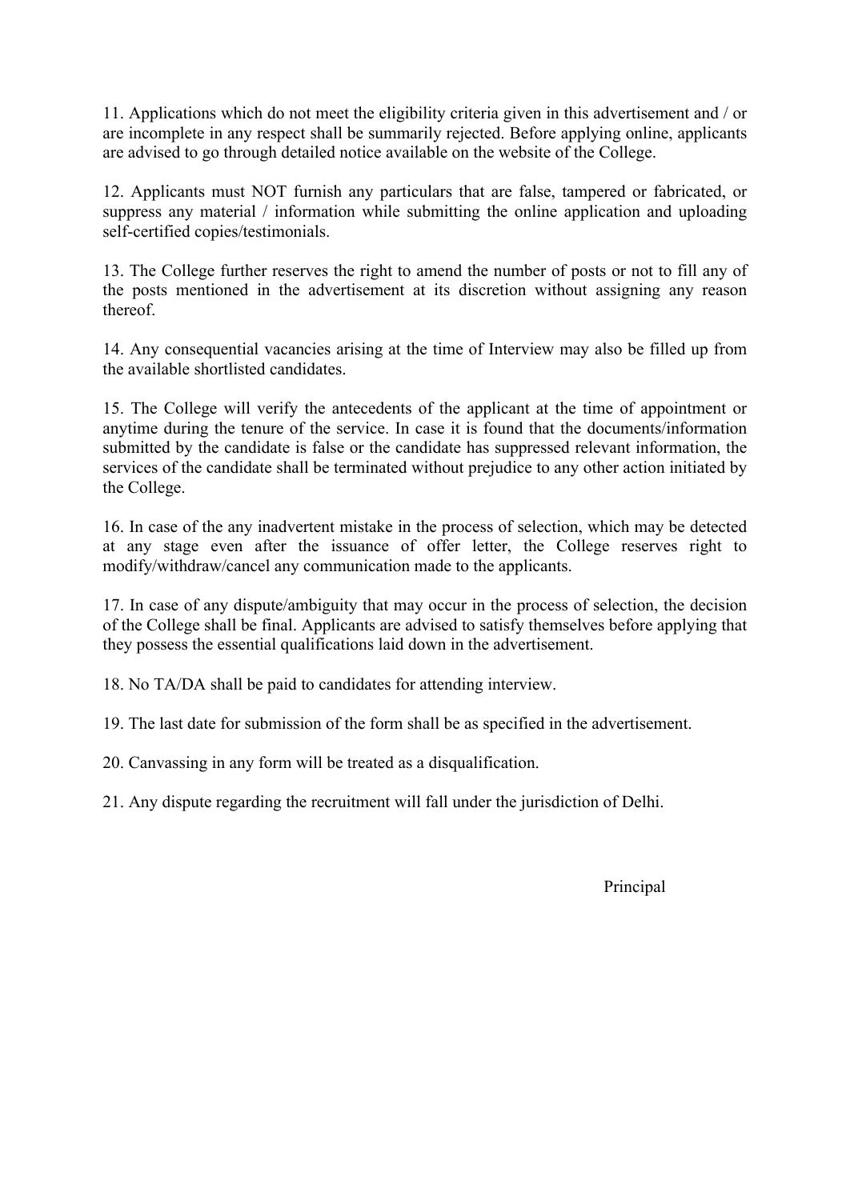11. Applications which do not meet the eligibility criteria given in this advertisement and / or are incomplete in any respect shall be summarily rejected. Before applying online, applicants are advised to go through detailed notice available on the website of the College.

12. Applicants must NOT furnish any particulars that are false, tampered or fabricated, or suppress any material / information while submitting the online application and uploading self-certified copies/testimonials.

13. The College further reserves the right to amend the number of posts or not to fill any of the posts mentioned in the advertisement at its discretion without assigning any reason thereof.

14. Any consequential vacancies arising at the time of Interview may also be filled up from the available shortlisted candidates.

15. The College will verify the antecedents of the applicant at the time of appointment or anytime during the tenure of the service. In case it is found that the documents/information submitted by the candidate is false or the candidate has suppressed relevant information, the services of the candidate shall be terminated without prejudice to any other action initiated by the College.

16. In case of the any inadvertent mistake in the process of selection, which may be detected at any stage even after the issuance of offer letter, the College reserves right to modify/withdraw/cancel any communication made to the applicants.

17. In case of any dispute/ambiguity that may occur in the process of selection, the decision of the College shall be final. Applicants are advised to satisfy themselves before applying that they possess the essential qualifications laid down in the advertisement.

18. No TA/DA shall be paid to candidates for attending interview.

19. The last date for submission of the form shall be as specified in the advertisement.

20. Canvassing in any form will be treated as a disqualification.

21. Any dispute regarding the recruitment will fall under the jurisdiction of Delhi.

Principal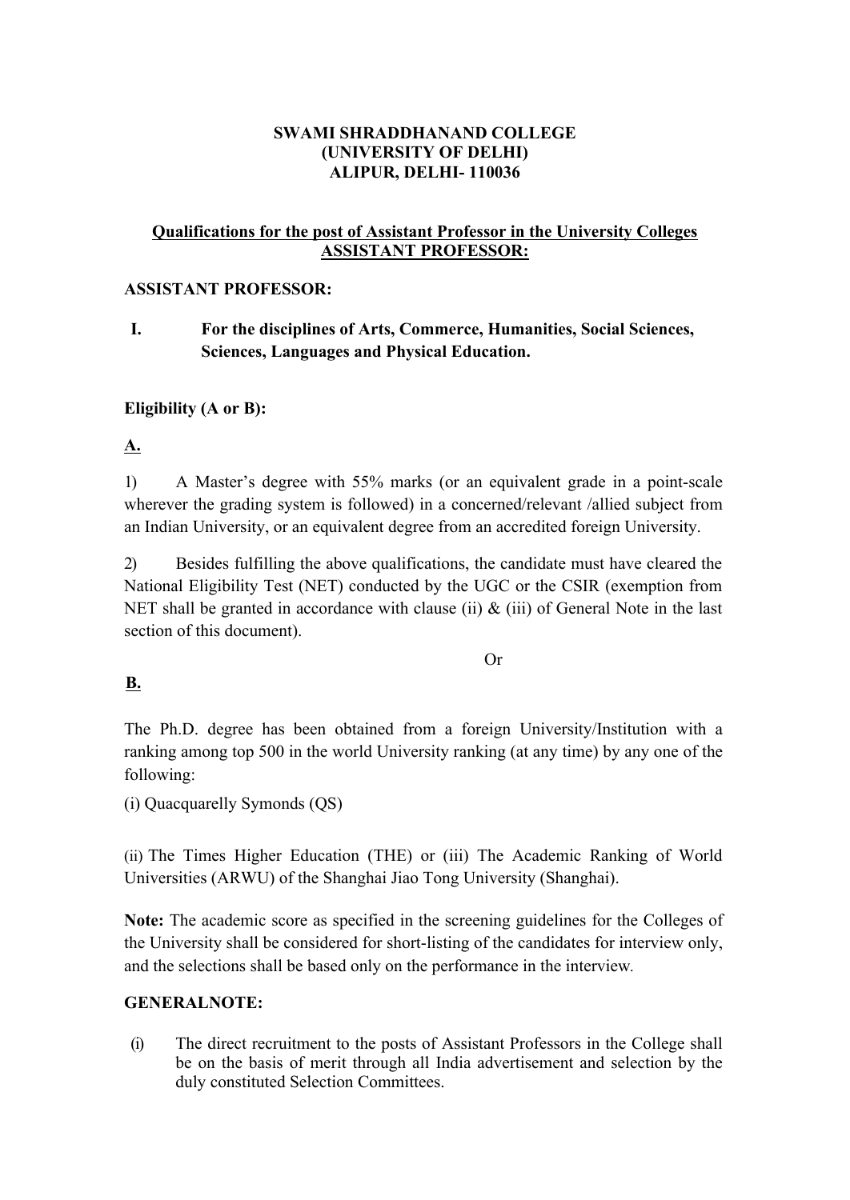# **SWAMI SHRADDHANAND COLLEGE (UNIVERSITY OF DELHI) ALIPUR, DELHI- 110036**

### **Qualifications for the post of Assistant Professor in the University Colleges ASSISTANT PROFESSOR:**

#### **ASSISTANT PROFESSOR:**

**I. For the disciplines of Arts, Commerce, Humanities, Social Sciences, Sciences, Languages and Physical Education.**

### **Eligibility (A or B):**

**A.**

1) A Master's degree with 55% marks (or an equivalent grade in a point-scale wherever the grading system is followed) in a concerned/relevant /allied subject from an Indian University, or an equivalent degree from an accredited foreign University.

2) Besides fulfilling the above qualifications, the candidate must have cleared the National Eligibility Test (NET) conducted by the UGC or the CSIR (exemption from NET shall be granted in accordance with clause (ii)  $\&$  (iii) of General Note in the last section of this document).

Or

### **B.**

The Ph.D. degree has been obtained from a foreign University/Institution with a ranking among top 500 in the world University ranking (at any time) by any one of the following:

(i) Quacquarelly Symonds (QS)

(ii) The Times Higher Education (THE) or (iii) The Academic Ranking of World Universities (ARWU) of the Shanghai Jiao Tong University (Shanghai).

**Note:** The academic score as specified in the screening guidelines for the Colleges of the University shall be considered for short-listing of the candidates for interview only, and the selections shall be based only on the performance in the interview*.*

### **GENERALNOTE:**

(i) The direct recruitment to the posts of Assistant Professors in the College shall be on the basis of merit through all India advertisement and selection by the duly constituted Selection Committees.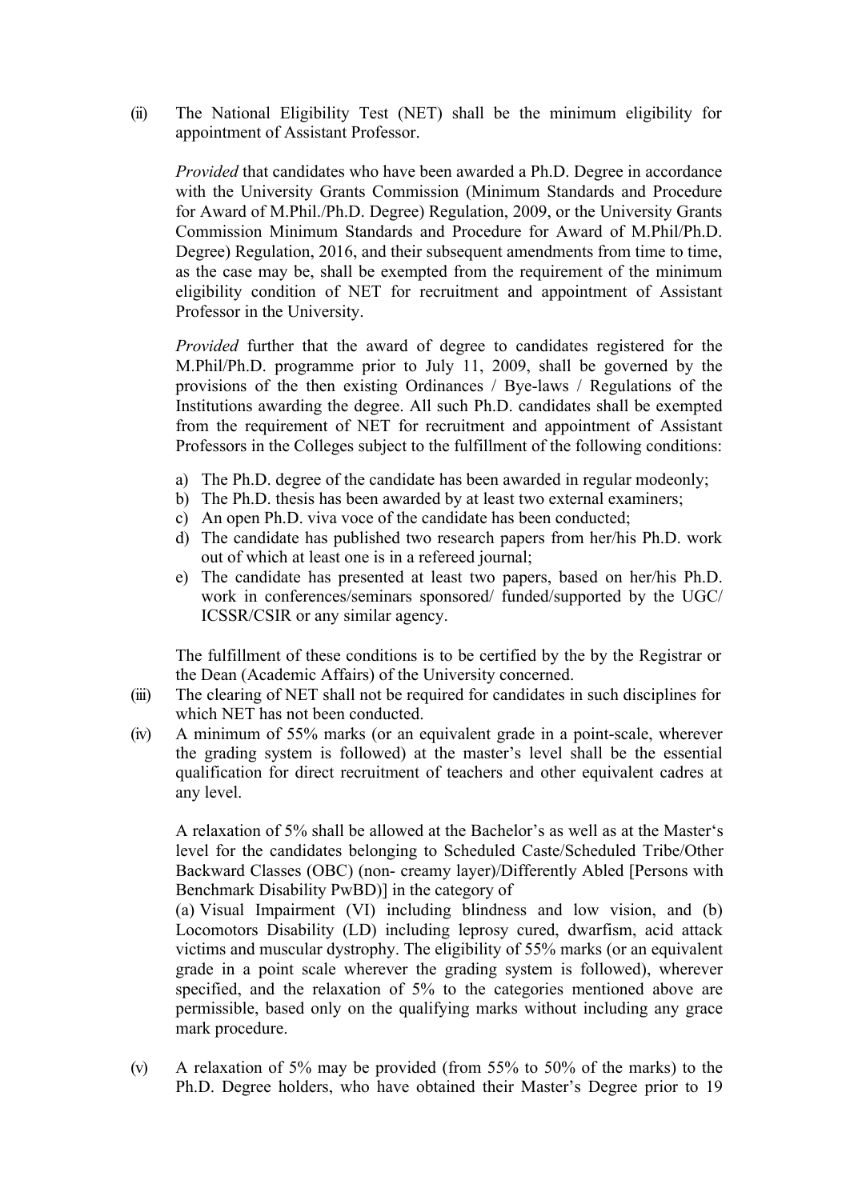(ii) The National Eligibility Test (NET) shall be the minimum eligibility for appointment of Assistant Professor.

*Provided* that candidates who have been awarded a Ph.D. Degree in accordance with the University Grants Commission (Minimum Standards and Procedure for Award of M.Phil./Ph.D. Degree) Regulation, 2009, or the University Grants Commission Minimum Standards and Procedure for Award of M.Phil/Ph.D. Degree) Regulation, 2016, and their subsequent amendments from time to time, as the case may be, shall be exempted from the requirement of the minimum eligibility condition of NET for recruitment and appointment of Assistant Professor in the University.

*Provided* further that the award of degree to candidates registered for the M.Phil/Ph.D. programme prior to July 11, 2009, shall be governed by the provisions of the then existing Ordinances / Bye-laws / Regulations of the Institutions awarding the degree. All such Ph.D. candidates shall be exempted from the requirement of NET for recruitment and appointment of Assistant Professors in the Colleges subject to the fulfillment of the following conditions:

- a) The Ph.D. degree of the candidate has been awarded in regular modeonly;
- b) The Ph.D. thesis has been awarded by at least two external examiners;
- c) An open Ph.D. viva voce of the candidate has been conducted;
- d) The candidate has published two research papers from her/his Ph.D. work out of which at least one is in a refereed journal;
- e) The candidate has presented at least two papers, based on her/his Ph.D. work in conferences/seminars sponsored/ funded/supported by the UGC/ ICSSR/CSIR or any similar agency.

The fulfillment of these conditions is to be certified by the by the Registrar or the Dean (Academic Affairs) of the University concerned.

- (iii) The clearing of NET shall not be required for candidates in such disciplines for which NET has not been conducted.
- (iv) A minimum of 55% marks (or an equivalent grade in a point-scale, wherever the grading system is followed) at the master's level shall be the essential qualification for direct recruitment of teachers and other equivalent cadres at any level.

A relaxation of 5% shall be allowed at the Bachelor's as well as at the Master's level for the candidates belonging to Scheduled Caste/Scheduled Tribe/Other Backward Classes (OBC) (non- creamy layer)/Differently Abled [Persons with Benchmark Disability PwBD)] in the category of

(a) Visual Impairment (VI) including blindness and low vision, and (b) Locomotors Disability (LD) including leprosy cured, dwarfism, acid attack victims and muscular dystrophy. The eligibility of 55% marks (or an equivalent grade in a point scale wherever the grading system is followed), wherever specified, and the relaxation of 5% to the categories mentioned above are permissible, based only on the qualifying marks without including any grace mark procedure.

(v) A relaxation of 5% may be provided (from 55% to 50% of the marks) to the Ph.D. Degree holders, who have obtained their Master's Degree prior to 19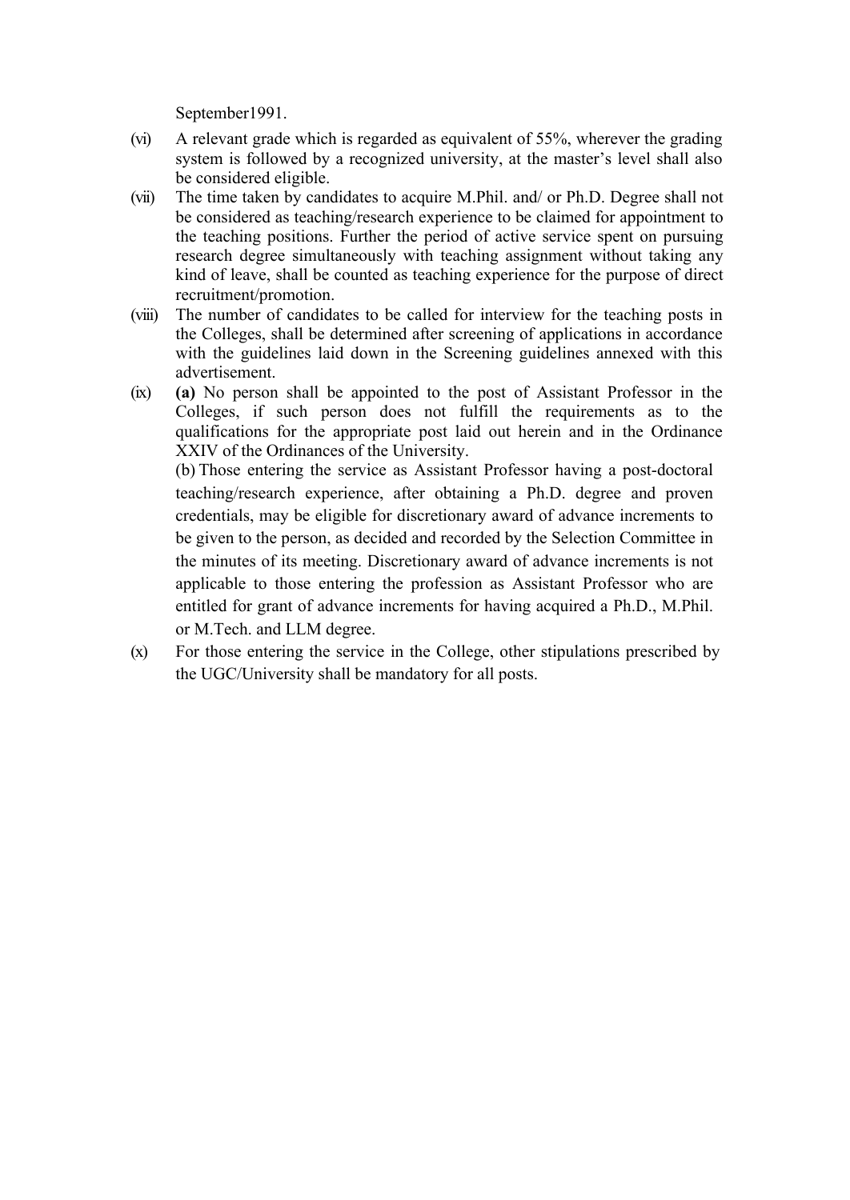September1991.

- (vi) A relevant grade which is regarded as equivalent of 55%, wherever the grading system is followed by a recognized university, at the master's level shall also be considered eligible.
- (vii) The time taken by candidates to acquire M.Phil. and/ or Ph.D. Degree shall not be considered as teaching/research experience to be claimed for appointment to the teaching positions. Further the period of active service spent on pursuing research degree simultaneously with teaching assignment without taking any kind of leave, shall be counted as teaching experience for the purpose of direct recruitment/promotion.
- (viii) The number of candidates to be called for interview for the teaching posts in the Colleges, shall be determined after screening of applications in accordance with the guidelines laid down in the Screening guidelines annexed with this advertisement.
- (ix) **(a)** No person shall be appointed to the post of Assistant Professor in the Colleges, if such person does not fulfill the requirements as to the qualifications for the appropriate post laid out herein and in the Ordinance XXIV of the Ordinances of the University. (b) Those entering the service as Assistant Professor having a post-doctoral teaching/research experience, after obtaining a Ph.D. degree and proven credentials, may be eligible for discretionary award of advance increments to be given to the person, as decided and recorded by the Selection Committee in the minutes of its meeting. Discretionary award of advance increments is not applicable to those entering the profession as Assistant Professor who are entitled for grant of advance increments for having acquired a Ph.D., M.Phil. or M.Tech. and LLM degree.
- (x) For those entering the service in the College, other stipulations prescribed by the UGC/University shall be mandatory for all posts.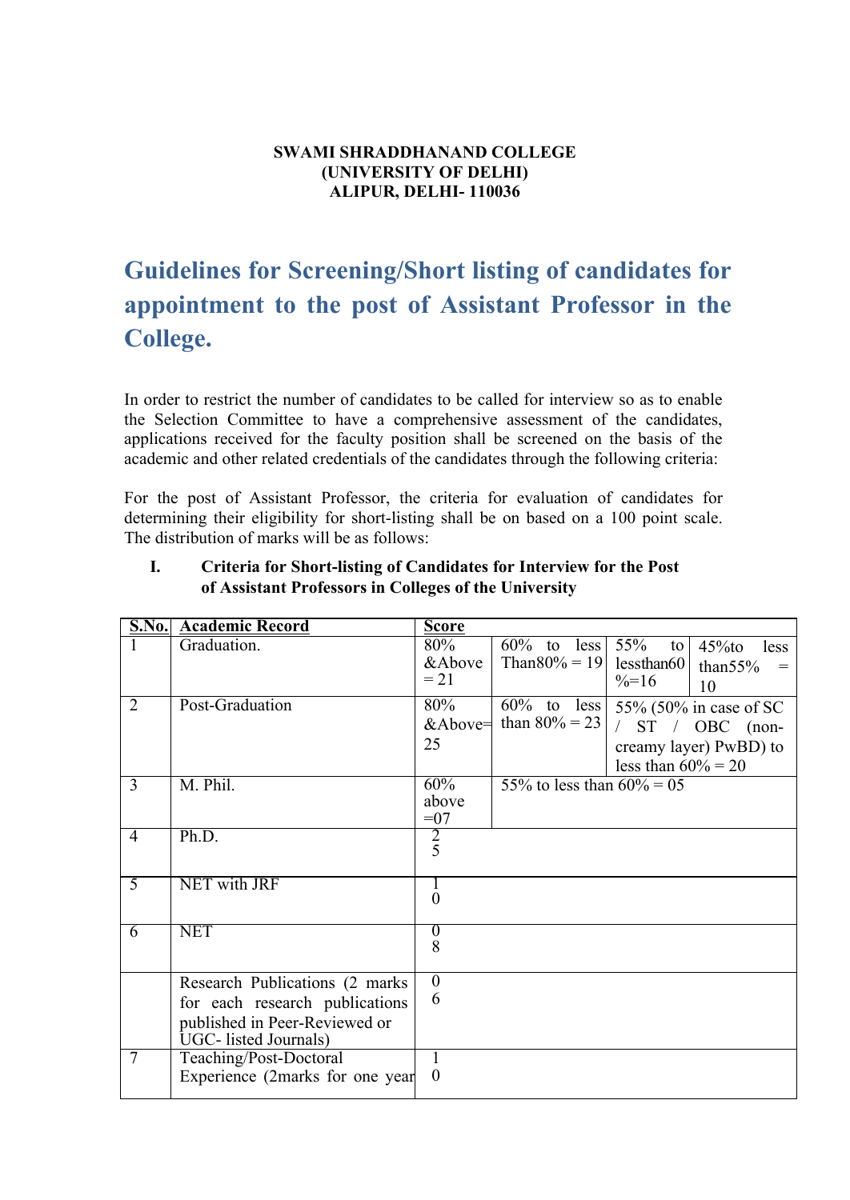#### **SWAMI SHRADDHANAND COLLEGE (UNIVERSITY OF DELHI) ALIPUR, DELHI- 110036**

# **Guidelines for Screening/Short listing of candidates for appointment to the post of Assistant Professor in the College.**

In order to restrict the number of candidates to be called for interview so as to enable the Selection Committee to have a comprehensive assessment of the candidates, applications received for the faculty position shall be screened on the basis of the academic and other related credentials of the candidates through the following criteria:

For the post of Assistant Professor, the criteria for evaluation of candidates for determining their eligibility for short-listing shall be on based on a 100 point scale. The distribution of marks will be as follows:

|                | <b>S.No.</b> Academic Record                           | <b>Score</b>     |                              |                                                    |                   |
|----------------|--------------------------------------------------------|------------------|------------------------------|----------------------------------------------------|-------------------|
|                | Graduation.                                            | 80%              | $\overline{60\%}$ to less    | 55%<br>to<br>$45\%$ to<br>less                     |                   |
|                |                                                        | &Above           | Than80% = 19   lessthan60    | than $55%$                                         | $\qquad \qquad =$ |
|                |                                                        | $= 21$           |                              | $\frac{9}{6}$ =16<br>10                            |                   |
| 2              | Post-Graduation                                        | 80%              |                              | $\frac{60\%}{60\%}$ to less 55% (50% in case of SC |                   |
|                |                                                        | &Above=          | than $80\% = 23$             | $/$ ST $/$ OBC (non-                               |                   |
|                |                                                        | 25               |                              | creamy layer) PwBD) to                             |                   |
|                |                                                        |                  |                              | less than $60\% = 20$                              |                   |
| 3              | M. Phil.                                               | 60%              | 55% to less than $60\% = 05$ |                                                    |                   |
|                |                                                        | above            |                              |                                                    |                   |
| $\overline{4}$ | Ph.D.                                                  | $=07$            |                              |                                                    |                   |
|                |                                                        | $\frac{2}{5}$    |                              |                                                    |                   |
|                |                                                        |                  |                              |                                                    |                   |
| $\overline{5}$ | NET with JRF                                           |                  |                              |                                                    |                   |
|                |                                                        | $\overline{0}$   |                              |                                                    |                   |
| 6              | <b>NET</b>                                             | $\boldsymbol{0}$ |                              |                                                    |                   |
|                |                                                        | 8                |                              |                                                    |                   |
|                |                                                        | $\overline{0}$   |                              |                                                    |                   |
|                | Research Publications (2 marks)                        | 6                |                              |                                                    |                   |
|                | for each research publications                         |                  |                              |                                                    |                   |
|                | published in Peer-Reviewed or<br>UGC- listed Journals) |                  |                              |                                                    |                   |
| $\overline{7}$ | Teaching/Post-Doctoral                                 |                  |                              |                                                    |                   |
|                | Experience (2marks for one year)                       | $\theta$         |                              |                                                    |                   |
|                |                                                        |                  |                              |                                                    |                   |

#### **I. Criteria for Short-listing of Candidates for Interview for the Post of Assistant Professors in Colleges of the University**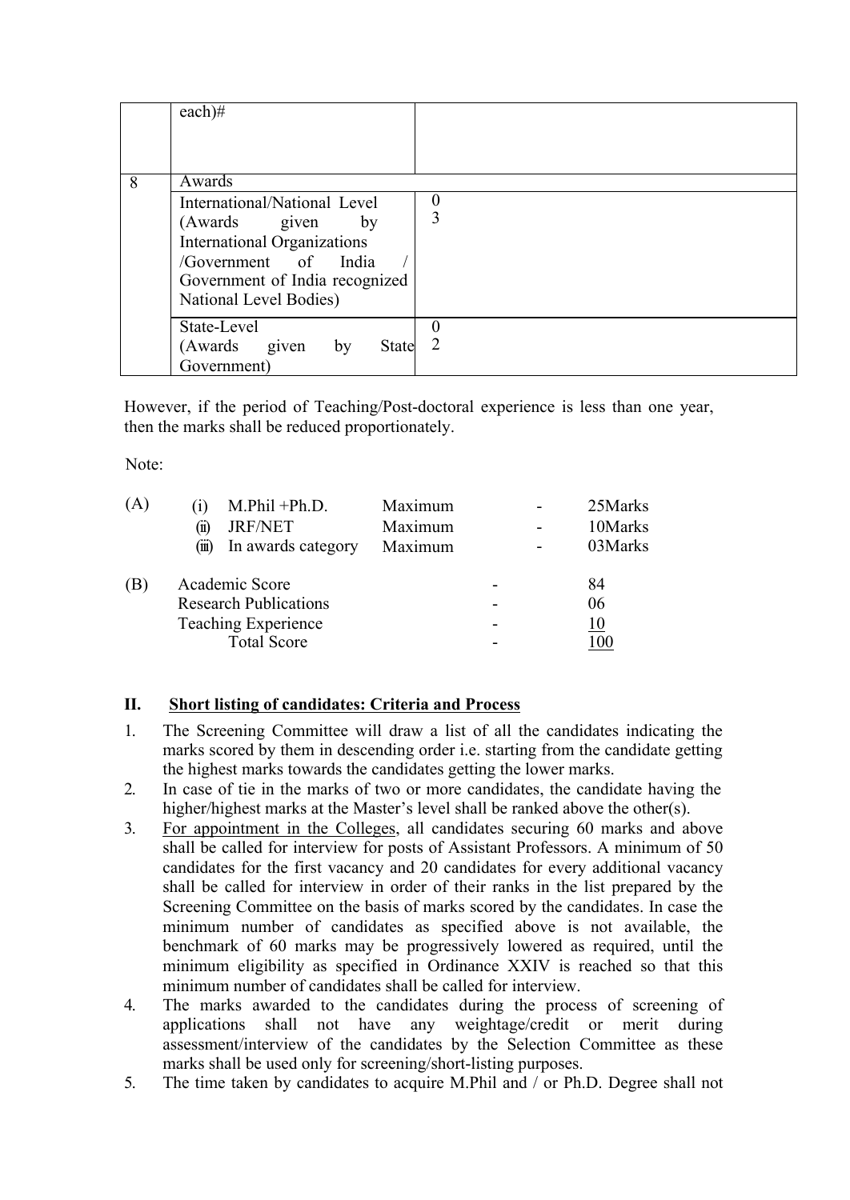|   | $each)$ #                                                                                                                                                                     |               |
|---|-------------------------------------------------------------------------------------------------------------------------------------------------------------------------------|---------------|
| 8 | Awards                                                                                                                                                                        |               |
|   | International/National Level<br>(Awards given<br>by<br><b>International Organizations</b><br>/Government of India<br>Government of India recognized<br>National Level Bodies) | $\theta$<br>3 |
|   | State-Level<br>(Awards<br>State<br>given<br>by<br>Government)                                                                                                                 | O<br>2        |

However, if the period of Teaching/Post-doctoral experience is less than one year, then the marks shall be reduced proportionately.

Note:

| (A) | $\vert 1 \vert$                                                              | $M.Phi1 + Ph.D.$   | Maximum |                          |   | 25Marks    |  |
|-----|------------------------------------------------------------------------------|--------------------|---------|--------------------------|---|------------|--|
|     | (11)                                                                         | <b>JRF/NET</b>     | Maximum |                          | - | 10Marks    |  |
|     | (111)                                                                        | In awards category | Maximum |                          |   | 03Marks    |  |
|     | Academic Score<br><b>Research Publications</b><br><b>Teaching Experience</b> |                    |         | -                        |   | 84         |  |
|     |                                                                              |                    |         |                          |   | 06         |  |
|     |                                                                              |                    |         | $\overline{\phantom{0}}$ |   | <u> 10</u> |  |
|     |                                                                              | <b>Total Score</b> |         | $\overline{\phantom{0}}$ |   | 100        |  |

# **II. Short listing of candidates: Criteria and Process**

- 1. The Screening Committee will draw a list of all the candidates indicating the marks scored by them in descending order i.e. starting from the candidate getting the highest marks towards the candidates getting the lower marks.
- 2. In case of tie in the marks of two or more candidates, the candidate having the higher/highest marks at the Master's level shall be ranked above the other(s).
- 3. For appointment in the Colleges, all candidates securing 60 marks and above shall be called for interview for posts of Assistant Professors. A minimum of 50 candidates for the first vacancy and 20 candidates for every additional vacancy shall be called for interview in order of their ranks in the list prepared by the Screening Committee on the basis of marks scored by the candidates. In case the minimum number of candidates as specified above is not available, the benchmark of 60 marks may be progressively lowered as required, until the minimum eligibility as specified in Ordinance XXIV is reached so that this minimum number of candidates shall be called for interview.
- 4. The marks awarded to the candidates during the process of screening of applications shall not have any weightage/credit or merit during assessment/interview of the candidates by the Selection Committee as these marks shall be used only for screening/short-listing purposes.
- 5. The time taken by candidates to acquire M.Phil and / or Ph.D. Degree shall not